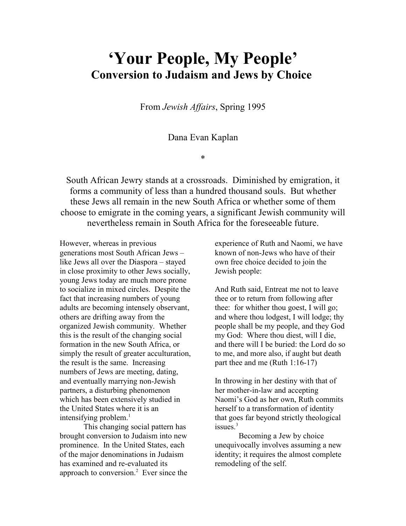## 'Your People, My People' Conversion to Judaism and Jews by Choice

From Jewish Affairs, Spring 1995

## Dana Evan Kaplan

\*

South African Jewry stands at a crossroads. Diminished by emigration, it forms a community of less than a hundred thousand souls. But whether these Jews all remain in the new South Africa or whether some of them choose to emigrate in the coming years, a significant Jewish community will nevertheless remain in South Africa for the foreseeable future.

However, whereas in previous generations most South African Jews – like Jews all over the Diaspora – stayed in close proximity to other Jews socially, young Jews today are much more prone to socialize in mixed circles. Despite the fact that increasing numbers of young adults are becoming intensely observant, others are drifting away from the organized Jewish community. Whether this is the result of the changing social formation in the new South Africa, or simply the result of greater acculturation, the result is the same. Increasing numbers of Jews are meeting, dating, and eventually marrying non-Jewish partners, a disturbing phenomenon which has been extensively studied in the United States where it is an intensifying problem.<sup>1</sup>

This changing social pattern has brought conversion to Judaism into new prominence. In the United States, each of the major denominations in Judaism has examined and re-evaluated its approach to conversion.<sup>2</sup> Ever since the

experience of Ruth and Naomi, we have known of non-Jews who have of their own free choice decided to join the Jewish people:

And Ruth said, Entreat me not to leave thee or to return from following after thee: for whither thou goest, I will go; and where thou lodgest, I will lodge; thy people shall be my people, and they God my God: Where thou diest, will I die, and there will I be buried: the Lord do so to me, and more also, if aught but death part thee and me (Ruth 1:16-17)

In throwing in her destiny with that of her mother-in-law and accepting Naomi's God as her own, Ruth commits herself to a transformation of identity that goes far beyond strictly theological issues $<sup>3</sup>$ </sup>

Becoming a Jew by choice unequivocally involves assuming a new identity; it requires the almost complete remodeling of the self.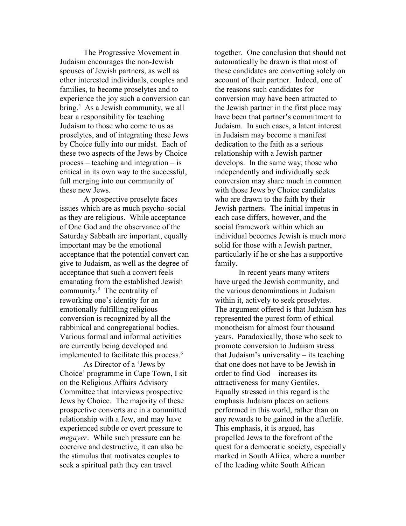The Progressive Movement in Judaism encourages the non-Jewish spouses of Jewish partners, as well as other interested individuals, couples and families, to become proselytes and to experience the joy such a conversion can bring.<sup>4</sup> As a Jewish community, we all bear a responsibility for teaching Judaism to those who come to us as proselytes, and of integrating these Jews by Choice fully into our midst. Each of these two aspects of the Jews by Choice process – teaching and integration – is critical in its own way to the successful, full merging into our community of these new Jews.

A prospective proselyte faces issues which are as much psycho-social as they are religious. While acceptance of One God and the observance of the Saturday Sabbath are important, equally important may be the emotional acceptance that the potential convert can give to Judaism, as well as the degree of acceptance that such a convert feels emanating from the established Jewish community. $5$  The centrality of reworking one's identity for an emotionally fulfilling religious conversion is recognized by all the rabbinical and congregational bodies. Various formal and informal activities are currently being developed and implemented to facilitate this process.<sup>6</sup>

As Director of a 'Jews by Choice' programme in Cape Town, I sit on the Religious Affairs Advisory Committee that interviews prospective Jews by Choice. The majority of these prospective converts are in a committed relationship with a Jew, and may have experienced subtle or overt pressure to megayer. While such pressure can be coercive and destructive, it can also be the stimulus that motivates couples to seek a spiritual path they can travel

together. One conclusion that should not automatically be drawn is that most of these candidates are converting solely on account of their partner. Indeed, one of the reasons such candidates for conversion may have been attracted to the Jewish partner in the first place may have been that partner's commitment to Judaism. In such cases, a latent interest in Judaism may become a manifest dedication to the faith as a serious relationship with a Jewish partner develops. In the same way, those who independently and individually seek conversion may share much in common with those Jews by Choice candidates who are drawn to the faith by their Jewish partners. The initial impetus in each case differs, however, and the social framework within which an individual becomes Jewish is much more solid for those with a Jewish partner, particularly if he or she has a supportive family.

In recent years many writers have urged the Jewish community, and the various denominations in Judaism within it, actively to seek proselytes. The argument offered is that Judaism has represented the purest form of ethical monotheism for almost four thousand years. Paradoxically, those who seek to promote conversion to Judaism stress that Judaism's universality – its teaching that one does not have to be Jewish in order to find God – increases its attractiveness for many Gentiles. Equally stressed in this regard is the emphasis Judaism places on actions performed in this world, rather than on any rewards to be gained in the afterlife. This emphasis, it is argued, has propelled Jews to the forefront of the quest for a democratic society, especially marked in South Africa, where a number of the leading white South African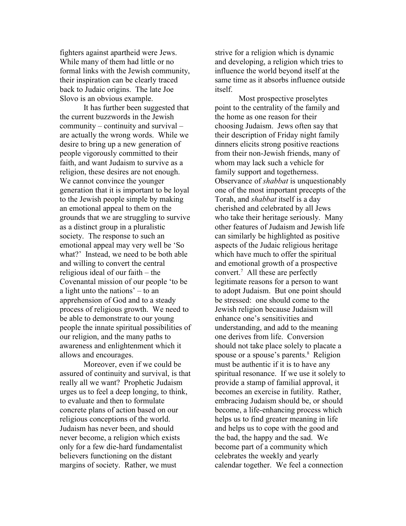fighters against apartheid were Jews. While many of them had little or no formal links with the Jewish community, their inspiration can be clearly traced back to Judaic origins. The late Joe Slovo is an obvious example.

It has further been suggested that the current buzzwords in the Jewish community – continuity and survival – are actually the wrong words. While we desire to bring up a new generation of people vigorously committed to their faith, and want Judaism to survive as a religion, these desires are not enough. We cannot convince the younger generation that it is important to be loyal to the Jewish people simple by making an emotional appeal to them on the grounds that we are struggling to survive as a distinct group in a pluralistic society. The response to such an emotional appeal may very well be 'So what?' Instead, we need to be both able and willing to convert the central religious ideal of our faith – the Covenantal mission of our people 'to be a light unto the nations' – to an apprehension of God and to a steady process of religious growth. We need to be able to demonstrate to our young people the innate spiritual possibilities of our religion, and the many paths to awareness and enlightenment which it allows and encourages.

Moreover, even if we could be assured of continuity and survival, is that really all we want? Prophetic Judaism urges us to feel a deep longing, to think, to evaluate and then to formulate concrete plans of action based on our religious conceptions of the world. Judaism has never been, and should never become, a religion which exists only for a few die-hard fundamentalist believers functioning on the distant margins of society. Rather, we must

strive for a religion which is dynamic and developing, a religion which tries to influence the world beyond itself at the same time as it absorbs influence outside itself.

Most prospective proselytes point to the centrality of the family and the home as one reason for their choosing Judaism. Jews often say that their description of Friday night family dinners elicits strong positive reactions from their non-Jewish friends, many of whom may lack such a vehicle for family support and togetherness. Observance of shabbat is unquestionably one of the most important precepts of the Torah, and shabbat itself is a day cherished and celebrated by all Jews who take their heritage seriously. Many other features of Judaism and Jewish life can similarly be highlighted as positive aspects of the Judaic religious heritage which have much to offer the spiritual and emotional growth of a prospective convert.<sup>7</sup> All these are perfectly legitimate reasons for a person to want to adopt Judaism. But one point should be stressed: one should come to the Jewish religion because Judaism will enhance one's sensitivities and understanding, and add to the meaning one derives from life. Conversion should not take place solely to placate a spouse or a spouse's parents.<sup>8</sup> Religion must be authentic if it is to have any spiritual resonance. If we use it solely to provide a stamp of familial approval, it becomes an exercise in futility. Rather, embracing Judaism should be, or should become, a life-enhancing process which helps us to find greater meaning in life and helps us to cope with the good and the bad, the happy and the sad. We become part of a community which celebrates the weekly and yearly calendar together. We feel a connection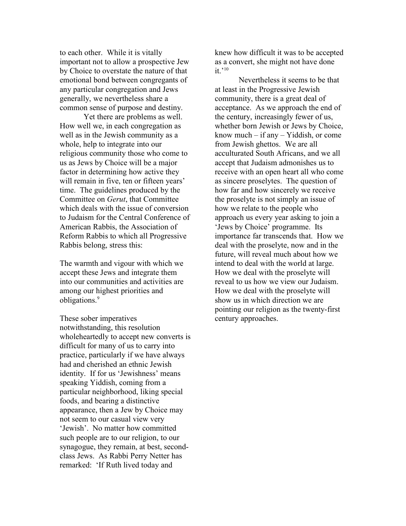to each other. While it is vitally important not to allow a prospective Jew by Choice to overstate the nature of that emotional bond between congregants of any particular congregation and Jews generally, we nevertheless share a common sense of purpose and destiny.

Yet there are problems as well. How well we, in each congregation as well as in the Jewish community as a whole, help to integrate into our religious community those who come to us as Jews by Choice will be a major factor in determining how active they will remain in five, ten or fifteen years' time. The guidelines produced by the Committee on Gerut, that Committee which deals with the issue of conversion to Judaism for the Central Conference of American Rabbis, the Association of Reform Rabbis to which all Progressive Rabbis belong, stress this:

The warmth and vigour with which we accept these Jews and integrate them into our communities and activities are among our highest priorities and obligations.<sup>9</sup>

These sober imperatives notwithstanding, this resolution wholeheartedly to accept new converts is difficult for many of us to carry into practice, particularly if we have always had and cherished an ethnic Jewish identity. If for us 'Jewishness' means speaking Yiddish, coming from a particular neighborhood, liking special foods, and bearing a distinctive appearance, then a Jew by Choice may not seem to our casual view very 'Jewish'. No matter how committed such people are to our religion, to our synagogue, they remain, at best, secondclass Jews. As Rabbi Perry Netter has remarked: 'If Ruth lived today and

knew how difficult it was to be accepted as a convert, she might not have done it.' $^{10}$ 

Nevertheless it seems to be that at least in the Progressive Jewish community, there is a great deal of acceptance. As we approach the end of the century, increasingly fewer of us, whether born Jewish or Jews by Choice, know much – if any – Yiddish, or come from Jewish ghettos. We are all acculturated South Africans, and we all accept that Judaism admonishes us to receive with an open heart all who come as sincere proselytes. The question of how far and how sincerely we receive the proselyte is not simply an issue of how we relate to the people who approach us every year asking to join a 'Jews by Choice' programme. Its importance far transcends that. How we deal with the proselyte, now and in the future, will reveal much about how we intend to deal with the world at large. How we deal with the proselyte will reveal to us how we view our Judaism. How we deal with the proselyte will show us in which direction we are pointing our religion as the twenty-first century approaches.